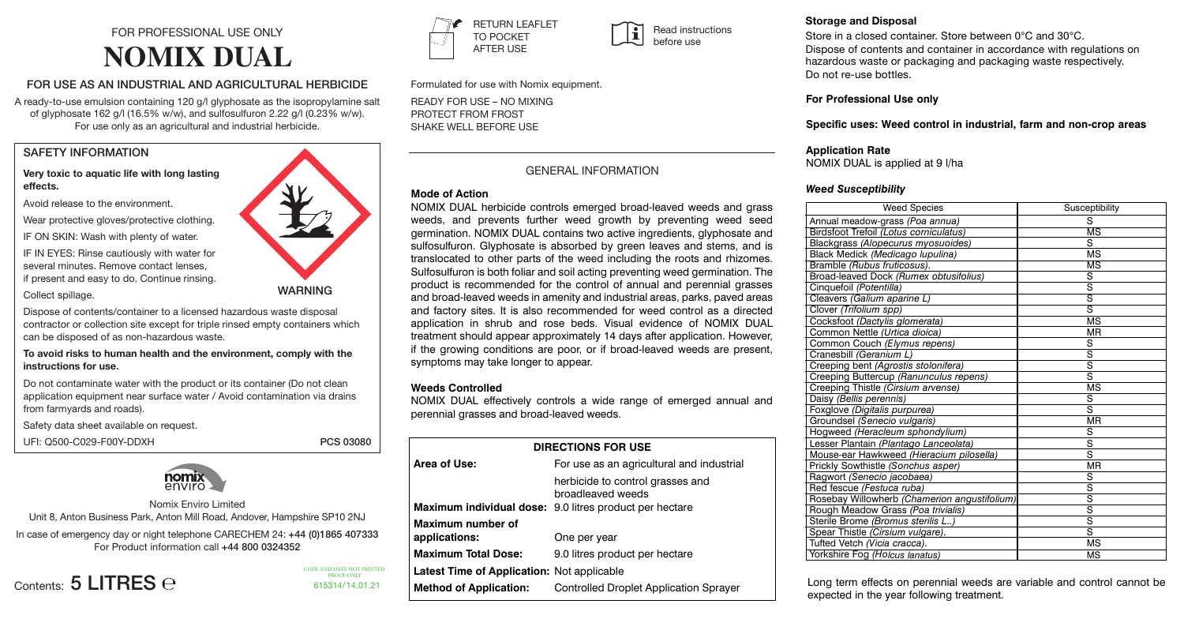# FOR PROFESSIONAL USE ONLY **NOMIX DUAL**

## FOR USE AS AN INDUSTRIAL AND AGRICULTURAL HERBICIDE

A ready-to-use emulsion containing 120 g/l glyphosate as the isopropylamine salt of glyphosate 162 g/l (16.5% w/w), and sulfosulfuron 2.22 g/l (0.23% w/w). For use only as an agricultural and industrial herbicide.

## SAFETY INFORMATION

## **Very toxic to aquatic life with long lasting effects.**

Avoid release to the environment.

Wear protective gloves/protective clothing.

IF ON SKIN: Wash with plenty of water.

IF IN EYES: Rinse cautiously with water for several minutes. Remove contact lenses, if present and easy to do. Continue rinsing.

## Collect spillage.

Dispose of contents/container to a licensed hazardous waste disposal contractor or collection site except for triple rinsed empty containers which can be disposed of as non-hazardous waste.

**To avoid risks to human health and the environment, comply with the instructions for use**.

Do not contaminate water with the product or its container (Do not clean application equipment near surface water / Avoid contamination via drains from farmyards and roads).

Safety data sheet available on request.

UFI: Q500-C029-F00Y-DDXH PCS 03080



615314/14.01.21

CODE AND DATE NOT PRINTED PROOF ONLY



Nomix Enviro Limited

Unit 8, Anton Business Park, Anton Mill Road, Andover, Hampshire SP10 2NJ

In case of emergency day or night telephone CARECHEM 24: +44 (0)1865 407333 For Product information call +44 800 0324352

Contents: 5 LITRES e



WARNING

**RETURN LEAFLET** TO POCKET AFTER USE  $\sum_{\text{F}}$  RETURN LEAFLET TO BOCKET Read instructions **NOMINAL DUAL FOR PROFESSION** FOR PROFESSIONAL USE ONLY **FOR PROFESSIONAL USE ONLY 0. THE FURN CONTENTS:**<br>TO POCKET<br>AFTER USE  $\overline{\phantom{a}}$   $\overline{\phantom{a}}$   $\overline{\phantom{a}}$   $\overline{\phantom{a}}$   $\overline{\phantom{a}}$   $\overline{\phantom{a}}$   $\overline{\phantom{a}}$   $\overline{\phantom{a}}$   $\overline{\phantom{a}}$   $\overline{\phantom{a}}$   $\overline{\phantom{a}}$   $\overline{\phantom{a}}$   $\overline{\phantom{a}}$   $\overline{\phantom{a}}$   $\overline{\phantom{a}}$   $\overline{\phantom{a}}$   $\overline{\phantom{a}}$   $\overline{\phantom{a}}$   $\overline{\$  $\overline{a}$ 

**EXAMPLE 20**<br>**Formulated for use with Nomix equipment. FOR USE AS AN INDUSTRIAL AND AGRICULTURAL HERBICIDE Romulated for use with Nomix equipment.<br>PEADY FOR USE - NO MIXING** 

READY FOR USE - NO MIXING<br>READY FOR USE - NO MIXING PROTECT FROM FROST SHAKE WELL BEFORE USE **and sulfosulfuron 2.22 g/l (0.23% w/w).**

### **GENERAL INFORMATION For use only as an agricultural and industrial herbicide.** SAFETY INFORMATION CONTINUES. **For use only as an agricultural and industrial herbicide.**

before use

615306/27.11.17

## **Mode of Action**

translocated to other parts of the weed including the roots and rhizomes. product is recommended for the control of annual and perennial grasses and broad-leaved weeds in amenity and industrial areas, parks, paved areas and factory sites. It is also recommended for weed control as a directed application in shrub and rose beds. Visual evidence of NOMIX DUAL site extends the candal containers which can be disposed of the with be disposed of the with plenty and as a state of the with plenty of as a state in the with plants and the state and in the water. However, and the state if the growing conditions are poor, or if broad-leaved weeds are present, **There** they have to type to appoint treatment should appear approximately 14 days after application. However, mate growing conditions are pool, or in broad leaved weeds are prese<br>symptoms may take longer to appear. ransiocated to other parts of the weed including the foots and mizomes.<br>Sulfosulfuron is both foliar and soil acting preventing weed germination. The NOMIX DUAL herbicide controls emerged broad-leaved weeds and grass weeds, and prevents further weed growth by preventing weed seed germination. NOMIX DUAL contains two active ingredients, glyphosate and sulfosulfuron. Glyphosate is absorbed by green leaves and stems, and is

### Weeds Controlled Version of the Second Second Second Second Second Second Second Second Second Second Second S **To avoid risks to human health and the environment, comply with the**

NOMIX DUAL effectively controls a wide range of emerged annual and perennial grasses and broad-leaved weeds. Avoid contamination via drains from farmyards and roads). Safety data sheet

| <b>DIRECTIONS FOR USE</b>                  |                                                                                                                  |  |  |  |  |  |  |
|--------------------------------------------|------------------------------------------------------------------------------------------------------------------|--|--|--|--|--|--|
| Area of Use:                               | For use as an agricultural and industrial                                                                        |  |  |  |  |  |  |
|                                            | herbicide to control grasses and<br>broadleaved weeds<br>Maximum individual dose: 9.0 litres product per hectare |  |  |  |  |  |  |
| Maximum number of<br>applications:         | One per year                                                                                                     |  |  |  |  |  |  |
| <b>Maximum Total Dose:</b>                 | 9.0 litres product per hectare                                                                                   |  |  |  |  |  |  |
| Latest Time of Application: Not applicable |                                                                                                                  |  |  |  |  |  |  |
| <b>Method of Application:</b>              | Controlled Droplet Application Sprayer                                                                           |  |  |  |  |  |  |
|                                            |                                                                                                                  |  |  |  |  |  |  |

#### **Directions for the safe disposal of the plant protection product and the packaging: Storage and Disposal**

store in a closed container. Store between unclland 30rC.<br>Dispose of contents and container in accordance with regulations on hazardous waste or packaging and packaging waste respectively. Storage and Disposar<br>Store in a closed container. Store between 0°C and 30°C. Dispose of contents and container in accordance with regulations on **Do not re-use bottles.** We also the Fog **(A)** MS *contained* MS *contained in the set of the set of the set of the set of the set of the set of the set of the set of the set of the set of the set of the set of the set* 

## **For Professional Use only For Professional Use only**  $\mathcal{L}$  . Long term effects on perennial weeds are variable and control cannot be and control cannot be an and control can not be a set of  $\mathcal{L}$

Specific uses: Weed control in industrial, farm and non-crop areas

### **Application Rate Application Rate**

NOMIX DUAL is applied at 9 l/ha  $\frac{1}{2}$  growing. Annual grasses and broad-leaved weeds should have at least  $\frac{1}{2}$ 

# **Weed Susceptibility**

| <b>Weed Species</b>                          | Susceptibility          |  |  |  |  |
|----------------------------------------------|-------------------------|--|--|--|--|
| Annual meadow-grass (Poa annua)              | S                       |  |  |  |  |
| Birdsfoot Trefoil (Lotus corniculatus)       | $\overline{\text{MS}}$  |  |  |  |  |
| Blackgrass (Alopecurus myosuoides)           | S                       |  |  |  |  |
| Black Medick (Medicago lupulina)             | MS                      |  |  |  |  |
| Bramble (Rubus fruticosus).                  | <b>MS</b>               |  |  |  |  |
| Broad-leaved Dock (Rumex obtusifolius)       | $\overline{s}$          |  |  |  |  |
| Cinquefoil (Potentilla)                      | S                       |  |  |  |  |
| Cleavers (Galium aparine L)                  | $\overline{s}$          |  |  |  |  |
| Clover (Trifolium spp)                       | $\overline{\mathbf{s}}$ |  |  |  |  |
| Cocksfoot (Dactylis glomerata)               | ΜS                      |  |  |  |  |
| Common Nettle (Urtica dioica)                | <b>MR</b>               |  |  |  |  |
| Common Couch (Elymus repens)                 | S                       |  |  |  |  |
| Cranesbill (Geranium L)                      | $\overline{\mathbf{s}}$ |  |  |  |  |
| Creeping bent (Agrostis stolonifera)         | $\overline{s}$          |  |  |  |  |
| Creeping Buttercup (Ranunculus repens)       | s                       |  |  |  |  |
| Creeping Thistle (Cirsium arvense)           | <b>MS</b>               |  |  |  |  |
| Daisy (Bellis perennis)                      | S                       |  |  |  |  |
| Foxglove (Digitalis purpurea)                | S                       |  |  |  |  |
| Groundsel (Senecio vulgaris)                 | ΜR                      |  |  |  |  |
| Hogweed (Heracleum sphondylium)              | S                       |  |  |  |  |
| Lesser Plantain (Plantago Lanceolata)        | $\overline{s}$          |  |  |  |  |
| Mouse-ear Hawkweed (Hieracium pilosella)     | $\overline{s}$          |  |  |  |  |
| Prickly Sowthistle (Sonchus asper)           | MR                      |  |  |  |  |
| Ragwort (Senecio jacobaea)                   | S                       |  |  |  |  |
| Red fescue (Festuca ruba)                    | $\overline{s}$          |  |  |  |  |
| Rosebay Willowherb (Chamerion angustifolium) | $\overline{s}$          |  |  |  |  |
| Rough Meadow Grass (Poa trivialis)           | $\overline{s}$          |  |  |  |  |
| Sterile Brome (Bromus sterilis L)            | S                       |  |  |  |  |
| Spear Thistle (Cirsium vulgare).             | $\overline{s}$          |  |  |  |  |
| Tufted Vetch (Vicia cracca).                 | МS                      |  |  |  |  |
| Yorkshire Fog (Holcus lanatus)               | <b>MS</b>               |  |  |  |  |

**Long term effects on perennial weeds are variable and control cannot be** expected in the year following treatment. expected in the year following treatment. ng term effects on perennial weeds are variable and cor